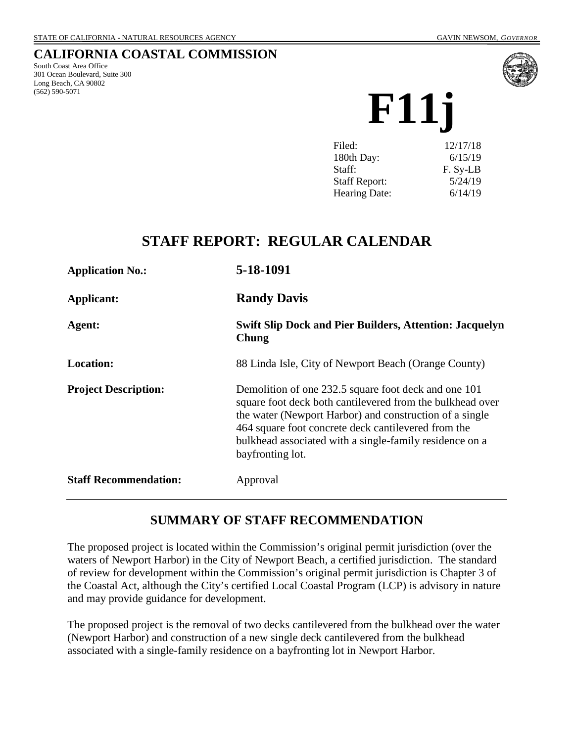# **CALIFORNIA COASTAL COMMISSION**

South Coast Area Office 301 Ocean Boulevard, Suite 300 Long Beach, CA 90802 (562) 590-5071



**F11j**

| Filed:               | 12/17/18 |
|----------------------|----------|
| 180th Day:           | 6/15/19  |
| Staff:               | F. Sy-LB |
| <b>Staff Report:</b> | 5/24/19  |
| <b>Hearing Date:</b> | 6/14/19  |
|                      |          |

# **STAFF REPORT: REGULAR CALENDAR**

| <b>Application No.:</b>      | 5-18-1091                                                                                                                                                                                                                                                                                                          |
|------------------------------|--------------------------------------------------------------------------------------------------------------------------------------------------------------------------------------------------------------------------------------------------------------------------------------------------------------------|
| Applicant:                   | <b>Randy Davis</b>                                                                                                                                                                                                                                                                                                 |
| Agent:                       | <b>Swift Slip Dock and Pier Builders, Attention: Jacquelyn</b><br>Chung                                                                                                                                                                                                                                            |
| <b>Location:</b>             | 88 Linda Isle, City of Newport Beach (Orange County)                                                                                                                                                                                                                                                               |
| <b>Project Description:</b>  | Demolition of one 232.5 square foot deck and one 101<br>square foot deck both cantilevered from the bulkhead over<br>the water (Newport Harbor) and construction of a single<br>464 square foot concrete deck cantilevered from the<br>bulkhead associated with a single-family residence on a<br>bayfronting lot. |
| <b>Staff Recommendation:</b> | Approval                                                                                                                                                                                                                                                                                                           |

# **SUMMARY OF STAFF RECOMMENDATION**

The proposed project is located within the Commission's original permit jurisdiction (over the waters of Newport Harbor) in the City of Newport Beach, a certified jurisdiction. The standard of review for development within the Commission's original permit jurisdiction is Chapter 3 of the Coastal Act, although the City's certified Local Coastal Program (LCP) is advisory in nature and may provide guidance for development.

The proposed project is the removal of two decks cantilevered from the bulkhead over the water (Newport Harbor) and construction of a new single deck cantilevered from the bulkhead associated with a single-family residence on a bayfronting lot in Newport Harbor.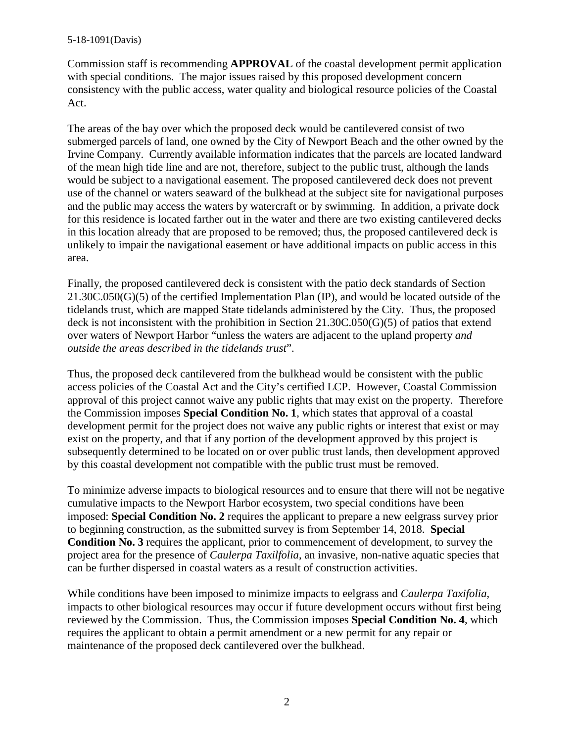Commission staff is recommending **APPROVAL** of the coastal development permit application with special conditions. The major issues raised by this proposed development concern consistency with the public access, water quality and biological resource policies of the Coastal Act.

The areas of the bay over which the proposed deck would be cantilevered consist of two submerged parcels of land, one owned by the City of Newport Beach and the other owned by the Irvine Company. Currently available information indicates that the parcels are located landward of the mean high tide line and are not, therefore, subject to the public trust, although the lands would be subject to a navigational easement. The proposed cantilevered deck does not prevent use of the channel or waters seaward of the bulkhead at the subject site for navigational purposes and the public may access the waters by watercraft or by swimming. In addition, a private dock for this residence is located farther out in the water and there are two existing cantilevered decks in this location already that are proposed to be removed; thus, the proposed cantilevered deck is unlikely to impair the navigational easement or have additional impacts on public access in this area.

Finally, the proposed cantilevered deck is consistent with the patio deck standards of Section 21.30C.050(G)(5) of the certified Implementation Plan (IP), and would be located outside of the tidelands trust, which are mapped State tidelands administered by the City. Thus, the proposed deck is not inconsistent with the prohibition in Section 21.30C.050(G)(5) of patios that extend over waters of Newport Harbor "unless the waters are adjacent to the upland property *and outside the areas described in the tidelands trust*".

Thus, the proposed deck cantilevered from the bulkhead would be consistent with the public access policies of the Coastal Act and the City's certified LCP. However, Coastal Commission approval of this project cannot waive any public rights that may exist on the property. Therefore the Commission imposes **Special Condition No. 1**, which states that approval of a coastal development permit for the project does not waive any public rights or interest that exist or may exist on the property, and that if any portion of the development approved by this project is subsequently determined to be located on or over public trust lands, then development approved by this coastal development not compatible with the public trust must be removed.

To minimize adverse impacts to biological resources and to ensure that there will not be negative cumulative impacts to the Newport Harbor ecosystem, two special conditions have been imposed: **Special Condition No. 2** requires the applicant to prepare a new eelgrass survey prior to beginning construction, as the submitted survey is from September 14, 2018. **Special Condition No. 3** requires the applicant, prior to commencement of development, to survey the project area for the presence of *Caulerpa Taxilfolia*, an invasive, non-native aquatic species that can be further dispersed in coastal waters as a result of construction activities.

While conditions have been imposed to minimize impacts to eelgrass and *Caulerpa Taxifolia*, impacts to other biological resources may occur if future development occurs without first being reviewed by the Commission. Thus, the Commission imposes **Special Condition No. 4**, which requires the applicant to obtain a permit amendment or a new permit for any repair or maintenance of the proposed deck cantilevered over the bulkhead.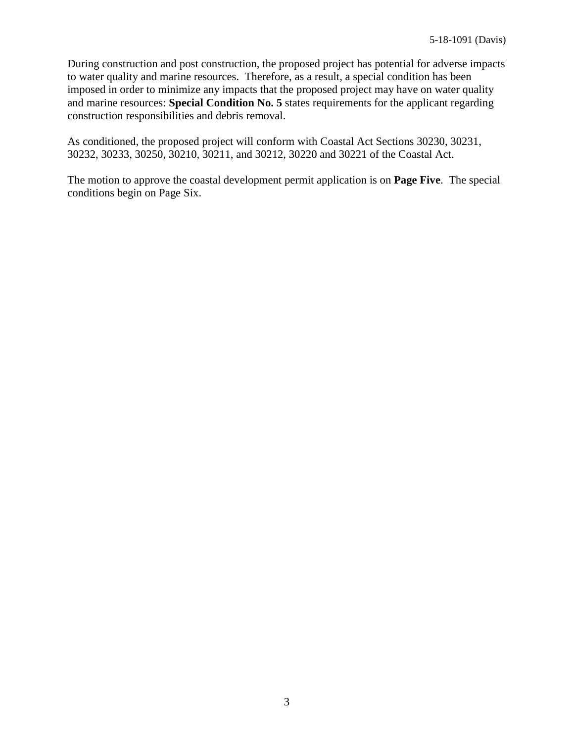During construction and post construction, the proposed project has potential for adverse impacts to water quality and marine resources. Therefore, as a result, a special condition has been imposed in order to minimize any impacts that the proposed project may have on water quality and marine resources: **Special Condition No. 5** states requirements for the applicant regarding construction responsibilities and debris removal.

As conditioned, the proposed project will conform with Coastal Act Sections 30230, 30231, 30232, 30233, 30250, 30210, 30211, and 30212, 30220 and 30221 of the Coastal Act.

The motion to approve the coastal development permit application is on **Page Five**. The special conditions begin on Page Six.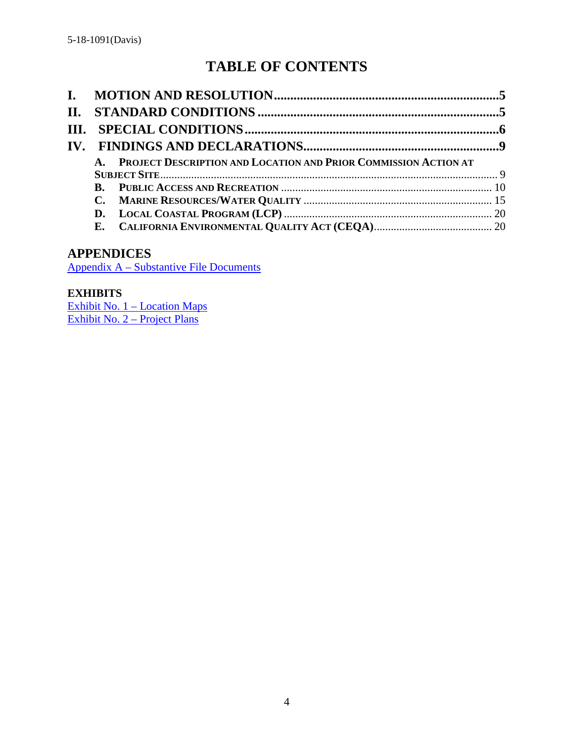# **TABLE OF CONTENTS**

| A. PROJECT DESCRIPTION AND LOCATION AND PRIOR COMMISSION ACTION AT |  |
|--------------------------------------------------------------------|--|
|                                                                    |  |
|                                                                    |  |
|                                                                    |  |
|                                                                    |  |
|                                                                    |  |

# **APPENDICES**

Appendix A – [Substantive File Documents](#page-21-0)

# **EXHIBITS**

[Exhibit No. 1 –](https://documents.coastal.ca.gov/reports/2019/6/F11J/F11J-6-2019-exhibits.pdf) Location Maps [Exhibit No. 2](https://documents.coastal.ca.gov/reports/2019/6/F11J/F11J-6-2019-exhibits.pdf) – Project Plans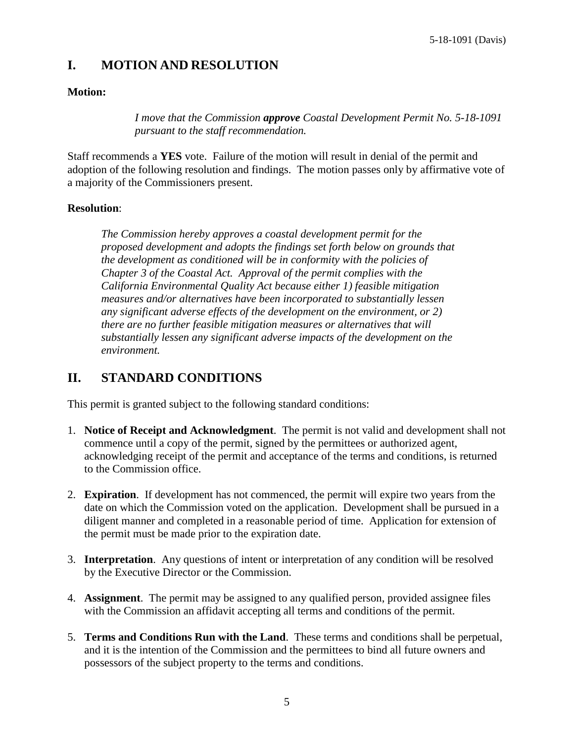# <span id="page-4-0"></span>**I. MOTION AND RESOLUTION**

#### **Motion:**

*I move that the Commission approve Coastal Development Permit No. 5-18-1091 pursuant to the staff recommendation.*

Staff recommends a **YES** vote. Failure of the motion will result in denial of the permit and adoption of the following resolution and findings. The motion passes only by affirmative vote of a majority of the Commissioners present.

#### **Resolution**:

*The Commission hereby approves a coastal development permit for the proposed development and adopts the findings set forth below on grounds that the development as conditioned will be in conformity with the policies of Chapter 3 of the Coastal Act. Approval of the permit complies with the California Environmental Quality Act because either 1) feasible mitigation measures and/or alternatives have been incorporated to substantially lessen any significant adverse effects of the development on the environment, or 2) there are no further feasible mitigation measures or alternatives that will substantially lessen any significant adverse impacts of the development on the environment.*

# <span id="page-4-1"></span>**II. STANDARD CONDITIONS**

This permit is granted subject to the following standard conditions:

- 1. **Notice of Receipt and Acknowledgment**. The permit is not valid and development shall not commence until a copy of the permit, signed by the permittees or authorized agent, acknowledging receipt of the permit and acceptance of the terms and conditions, is returned to the Commission office.
- 2. **Expiration**. If development has not commenced, the permit will expire two years from the date on which the Commission voted on the application. Development shall be pursued in a diligent manner and completed in a reasonable period of time. Application for extension of the permit must be made prior to the expiration date.
- 3. **Interpretation**. Any questions of intent or interpretation of any condition will be resolved by the Executive Director or the Commission.
- 4. **Assignment**. The permit may be assigned to any qualified person, provided assignee files with the Commission an affidavit accepting all terms and conditions of the permit.
- 5. **Terms and Conditions Run with the Land**. These terms and conditions shall be perpetual, and it is the intention of the Commission and the permittees to bind all future owners and possessors of the subject property to the terms and conditions.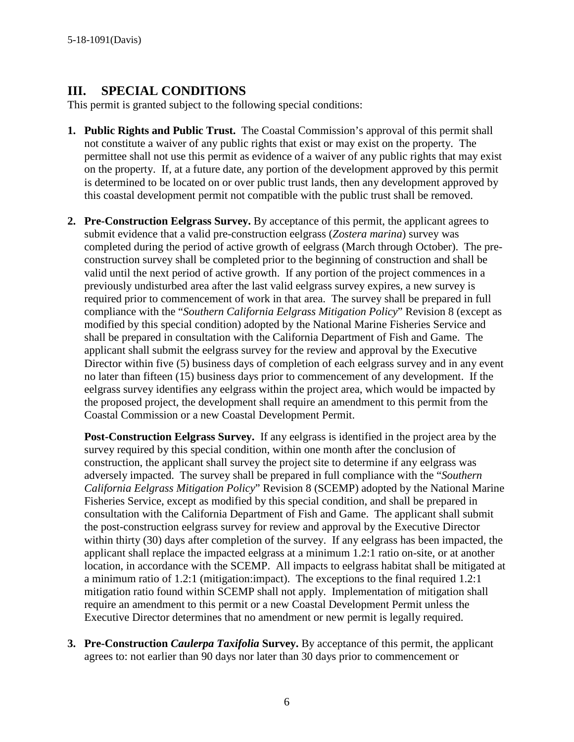# <span id="page-5-0"></span>**III. SPECIAL CONDITIONS**

This permit is granted subject to the following special conditions:

- **1. Public Rights and Public Trust.** The Coastal Commission's approval of this permit shall not constitute a waiver of any public rights that exist or may exist on the property. The permittee shall not use this permit as evidence of a waiver of any public rights that may exist on the property. If, at a future date, any portion of the development approved by this permit is determined to be located on or over public trust lands, then any development approved by this coastal development permit not compatible with the public trust shall be removed.
- **2. Pre-Construction Eelgrass Survey.** By acceptance of this permit, the applicant agrees to submit evidence that a valid pre-construction eelgrass (*Zostera marina*) survey was completed during the period of active growth of eelgrass (March through October). The preconstruction survey shall be completed prior to the beginning of construction and shall be valid until the next period of active growth. If any portion of the project commences in a previously undisturbed area after the last valid eelgrass survey expires, a new survey is required prior to commencement of work in that area. The survey shall be prepared in full compliance with the "*Southern California Eelgrass Mitigation Policy*" Revision 8 (except as modified by this special condition) adopted by the National Marine Fisheries Service and shall be prepared in consultation with the California Department of Fish and Game. The applicant shall submit the eelgrass survey for the review and approval by the Executive Director within five (5) business days of completion of each eelgrass survey and in any event no later than fifteen (15) business days prior to commencement of any development. If the eelgrass survey identifies any eelgrass within the project area, which would be impacted by the proposed project, the development shall require an amendment to this permit from the Coastal Commission or a new Coastal Development Permit.

**Post-Construction Eelgrass Survey.** If any eelgrass is identified in the project area by the survey required by this special condition, within one month after the conclusion of construction, the applicant shall survey the project site to determine if any eelgrass was adversely impacted. The survey shall be prepared in full compliance with the "*Southern California Eelgrass Mitigation Policy*" Revision 8 (SCEMP) adopted by the National Marine Fisheries Service, except as modified by this special condition, and shall be prepared in consultation with the California Department of Fish and Game. The applicant shall submit the post-construction eelgrass survey for review and approval by the Executive Director within thirty (30) days after completion of the survey. If any eelgrass has been impacted, the applicant shall replace the impacted eelgrass at a minimum 1.2:1 ratio on-site, or at another location, in accordance with the SCEMP. All impacts to eelgrass habitat shall be mitigated at a minimum ratio of 1.2:1 (mitigation:impact). The exceptions to the final required 1.2:1 mitigation ratio found within SCEMP shall not apply. Implementation of mitigation shall require an amendment to this permit or a new Coastal Development Permit unless the Executive Director determines that no amendment or new permit is legally required.

**3. Pre-Construction** *Caulerpa Taxifolia* **Survey.** By acceptance of this permit, the applicant agrees to: not earlier than 90 days nor later than 30 days prior to commencement or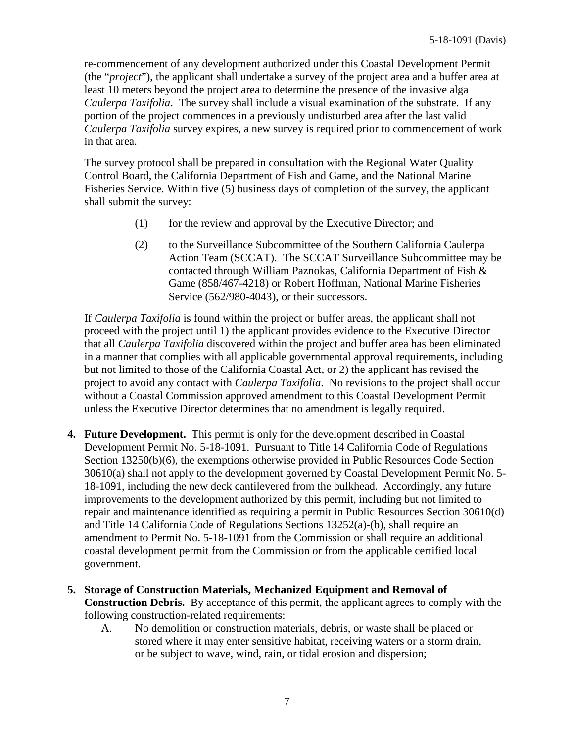re-commencement of any development authorized under this Coastal Development Permit (the "*project*"), the applicant shall undertake a survey of the project area and a buffer area at least 10 meters beyond the project area to determine the presence of the invasive alga *Caulerpa Taxifolia*. The survey shall include a visual examination of the substrate. If any portion of the project commences in a previously undisturbed area after the last valid *Caulerpa Taxifolia* survey expires, a new survey is required prior to commencement of work in that area.

The survey protocol shall be prepared in consultation with the Regional Water Quality Control Board, the California Department of Fish and Game, and the National Marine Fisheries Service. Within five (5) business days of completion of the survey, the applicant shall submit the survey:

- (1) for the review and approval by the Executive Director; and
- (2) to the Surveillance Subcommittee of the Southern California Caulerpa Action Team (SCCAT). The SCCAT Surveillance Subcommittee may be contacted through William Paznokas, California Department of Fish & Game (858/467-4218) or Robert Hoffman, National Marine Fisheries Service (562/980-4043), or their successors.

If *Caulerpa Taxifolia* is found within the project or buffer areas, the applicant shall not proceed with the project until 1) the applicant provides evidence to the Executive Director that all *Caulerpa Taxifolia* discovered within the project and buffer area has been eliminated in a manner that complies with all applicable governmental approval requirements, including but not limited to those of the California Coastal Act, or 2) the applicant has revised the project to avoid any contact with *Caulerpa Taxifolia*. No revisions to the project shall occur without a Coastal Commission approved amendment to this Coastal Development Permit unless the Executive Director determines that no amendment is legally required.

- **4. Future Development.** This permit is only for the development described in Coastal Development Permit No. 5-18-1091. Pursuant to Title 14 California Code of Regulations Section 13250(b)(6), the exemptions otherwise provided in Public Resources Code Section 30610(a) shall not apply to the development governed by Coastal Development Permit No. 5- 18-1091, including the new deck cantilevered from the bulkhead. Accordingly, any future improvements to the development authorized by this permit, including but not limited to repair and maintenance identified as requiring a permit in Public Resources Section 30610(d) and Title 14 California Code of Regulations Sections 13252(a)-(b), shall require an amendment to Permit No. 5-18-1091 from the Commission or shall require an additional coastal development permit from the Commission or from the applicable certified local government.
- **5. Storage of Construction Materials, Mechanized Equipment and Removal of Construction Debris.** By acceptance of this permit, the applicant agrees to comply with the following construction-related requirements:
	- A. No demolition or construction materials, debris, or waste shall be placed or stored where it may enter sensitive habitat, receiving waters or a storm drain, or be subject to wave, wind, rain, or tidal erosion and dispersion;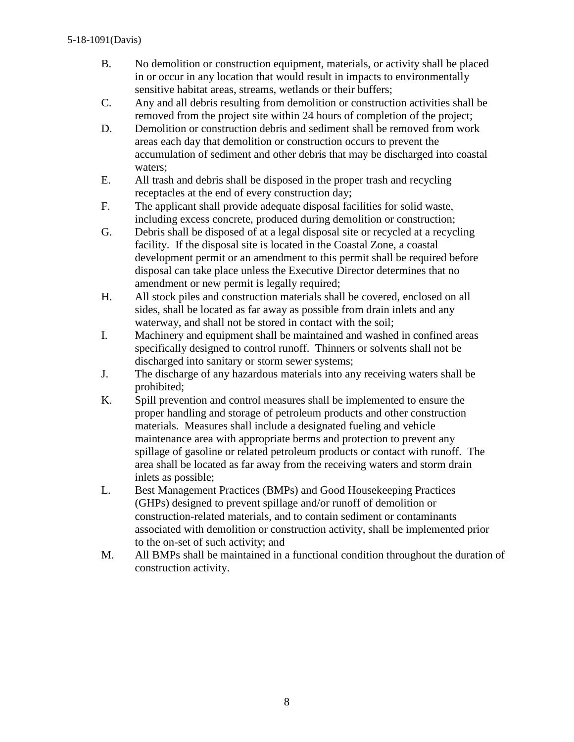- B. No demolition or construction equipment, materials, or activity shall be placed in or occur in any location that would result in impacts to environmentally sensitive habitat areas, streams, wetlands or their buffers;
- C. Any and all debris resulting from demolition or construction activities shall be removed from the project site within 24 hours of completion of the project;
- D. Demolition or construction debris and sediment shall be removed from work areas each day that demolition or construction occurs to prevent the accumulation of sediment and other debris that may be discharged into coastal waters;
- E. All trash and debris shall be disposed in the proper trash and recycling receptacles at the end of every construction day;
- F. The applicant shall provide adequate disposal facilities for solid waste, including excess concrete, produced during demolition or construction;
- G. Debris shall be disposed of at a legal disposal site or recycled at a recycling facility. If the disposal site is located in the Coastal Zone, a coastal development permit or an amendment to this permit shall be required before disposal can take place unless the Executive Director determines that no amendment or new permit is legally required;
- H. All stock piles and construction materials shall be covered, enclosed on all sides, shall be located as far away as possible from drain inlets and any waterway, and shall not be stored in contact with the soil;
- I. Machinery and equipment shall be maintained and washed in confined areas specifically designed to control runoff. Thinners or solvents shall not be discharged into sanitary or storm sewer systems;
- J. The discharge of any hazardous materials into any receiving waters shall be prohibited;
- K. Spill prevention and control measures shall be implemented to ensure the proper handling and storage of petroleum products and other construction materials. Measures shall include a designated fueling and vehicle maintenance area with appropriate berms and protection to prevent any spillage of gasoline or related petroleum products or contact with runoff. The area shall be located as far away from the receiving waters and storm drain inlets as possible;
- L. Best Management Practices (BMPs) and Good Housekeeping Practices (GHPs) designed to prevent spillage and/or runoff of demolition or construction-related materials, and to contain sediment or contaminants associated with demolition or construction activity, shall be implemented prior to the on-set of such activity; and
- M. All BMPs shall be maintained in a functional condition throughout the duration of construction activity.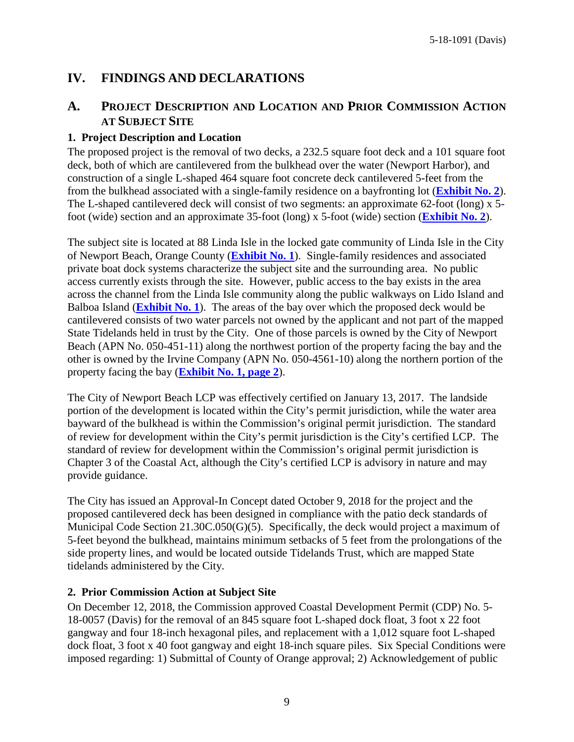# <span id="page-8-0"></span>**IV. FINDINGS AND DECLARATIONS**

# <span id="page-8-1"></span>**A. PROJECT DESCRIPTION AND LOCATION AND PRIOR COMMISSION ACTION AT SUBJECT SITE**

#### **1. Project Description and Location**

The proposed project is the removal of two decks, a 232.5 square foot deck and a 101 square foot deck, both of which are cantilevered from the bulkhead over the water (Newport Harbor), and construction of a single L-shaped 464 square foot concrete deck cantilevered 5-feet from the from the bulkhead associated with a single-family residence on a bayfronting lot (**[Exhibit No. 2](https://documents.coastal.ca.gov/reports/2019/6/F11J/F11J-6-2019-exhibits.pdf)**). The L-shaped cantilevered deck will consist of two segments: an approximate 62-foot (long) x 5 foot (wide) section and an approximate 35-foot (long) x 5-foot (wide) section (**[Exhibit No. 2](https://documents.coastal.ca.gov/reports/2019/6/F11J/F11J-6-2019-exhibits.pdf)**).

The subject site is located at 88 Linda Isle in the locked gate community of Linda Isle in the City of Newport Beach, Orange County (**[Exhibit No. 1](https://documents.coastal.ca.gov/reports/2019/6/F11J/F11J-6-2019-exhibits.pdf)**). Single-family residences and associated private boat dock systems characterize the subject site and the surrounding area. No public access currently exists through the site. However, public access to the bay exists in the area across the channel from the Linda Isle community along the public walkways on Lido Island and Balboa Island (**[Exhibit No. 1](https://documents.coastal.ca.gov/reports/2019/6/F11J/F11J-6-2019-exhibits.pdf)**). The areas of the bay over which the proposed deck would be cantilevered consists of two water parcels not owned by the applicant and not part of the mapped State Tidelands held in trust by the City. One of those parcels is owned by the City of Newport Beach (APN No. 050-451-11) along the northwest portion of the property facing the bay and the other is owned by the Irvine Company (APN No. 050-4561-10) along the northern portion of the property facing the bay (**[Exhibit No. 1, page 2](https://documents.coastal.ca.gov/reports/2019/6/F11J/F11J-6-2019-exhibits.pdf)**).

The City of Newport Beach LCP was effectively certified on January 13, 2017. The landside portion of the development is located within the City's permit jurisdiction, while the water area bayward of the bulkhead is within the Commission's original permit jurisdiction. The standard of review for development within the City's permit jurisdiction is the City's certified LCP. The standard of review for development within the Commission's original permit jurisdiction is Chapter 3 of the Coastal Act, although the City's certified LCP is advisory in nature and may provide guidance.

The City has issued an Approval-In Concept dated October 9, 2018 for the project and the proposed cantilevered deck has been designed in compliance with the patio deck standards of Municipal Code Section 21.30C.050(G)(5). Specifically, the deck would project a maximum of 5-feet beyond the bulkhead, maintains minimum setbacks of 5 feet from the prolongations of the side property lines, and would be located outside Tidelands Trust, which are mapped State tidelands administered by the City.

#### **2. Prior Commission Action at Subject Site**

On December 12, 2018, the Commission approved Coastal Development Permit (CDP) No. 5- 18-0057 (Davis) for the removal of an 845 square foot L-shaped dock float, 3 foot x 22 foot gangway and four 18-inch hexagonal piles, and replacement with a 1,012 square foot L-shaped dock float, 3 foot x 40 foot gangway and eight 18-inch square piles. Six Special Conditions were imposed regarding: 1) Submittal of County of Orange approval; 2) Acknowledgement of public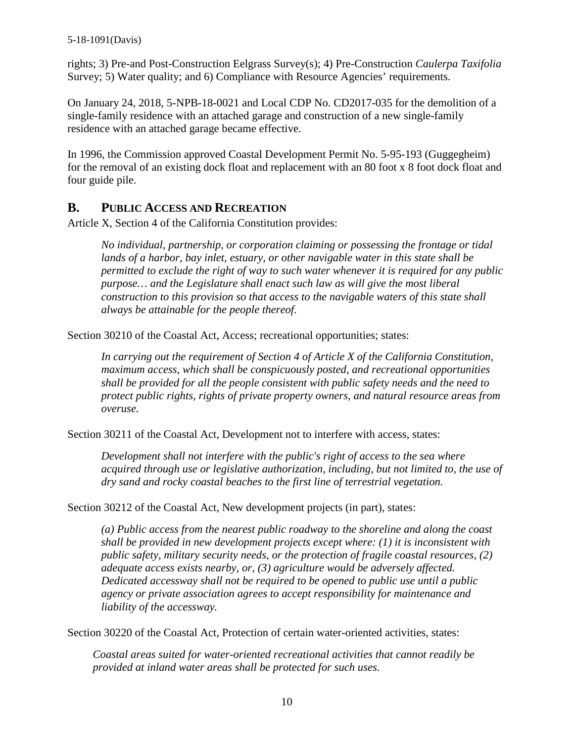rights; 3) Pre-and Post-Construction Eelgrass Survey(s); 4) Pre-Construction *Caulerpa Taxifolia* Survey; 5) Water quality; and 6) Compliance with Resource Agencies' requirements.

On January 24, 2018, 5-NPB-18-0021 and Local CDP No. CD2017-035 for the demolition of a single-family residence with an attached garage and construction of a new single-family residence with an attached garage became effective.

In 1996, the Commission approved Coastal Development Permit No. 5-95-193 (Guggegheim) for the removal of an existing dock float and replacement with an 80 foot x 8 foot dock float and four guide pile.

### <span id="page-9-0"></span>**B. PUBLIC ACCESS AND RECREATION**

Article X, Section 4 of the California Constitution provides:

*No individual, partnership, or corporation claiming or possessing the frontage or tidal lands of a harbor, bay inlet, estuary, or other navigable water in this state shall be permitted to exclude the right of way to such water whenever it is required for any public purpose… and the Legislature shall enact such law as will give the most liberal construction to this provision so that access to the navigable waters of this state shall always be attainable for the people thereof.*

Section 30210 of the Coastal Act, Access; recreational opportunities; states:

*In carrying out the requirement of Section 4 of Article X of the California Constitution, maximum access, which shall be conspicuously posted, and recreational opportunities shall be provided for all the people consistent with public safety needs and the need to protect public rights, rights of private property owners, and natural resource areas from overuse.*

Section 30211 of the Coastal Act, Development not to interfere with access, states:

*Development shall not interfere with the public's right of access to the sea where acquired through use or legislative authorization, including, but not limited to, the use of dry sand and rocky coastal beaches to the first line of terrestrial vegetation.* 

Section 30212 of the Coastal Act, New development projects (in part), states:

*(a) Public access from the nearest public roadway to the shoreline and along the coast shall be provided in new development projects except where: (1) it is inconsistent with public safety, military security needs, or the protection of fragile coastal resources, (2) adequate access exists nearby, or, (3) agriculture would be adversely affected. Dedicated accessway shall not be required to be opened to public use until a public agency or private association agrees to accept responsibility for maintenance and liability of the accessway.*

Section 30220 of the Coastal Act, Protection of certain water-oriented activities, states:

*Coastal areas suited for water-oriented recreational activities that cannot readily be provided at inland water areas shall be protected for such uses.*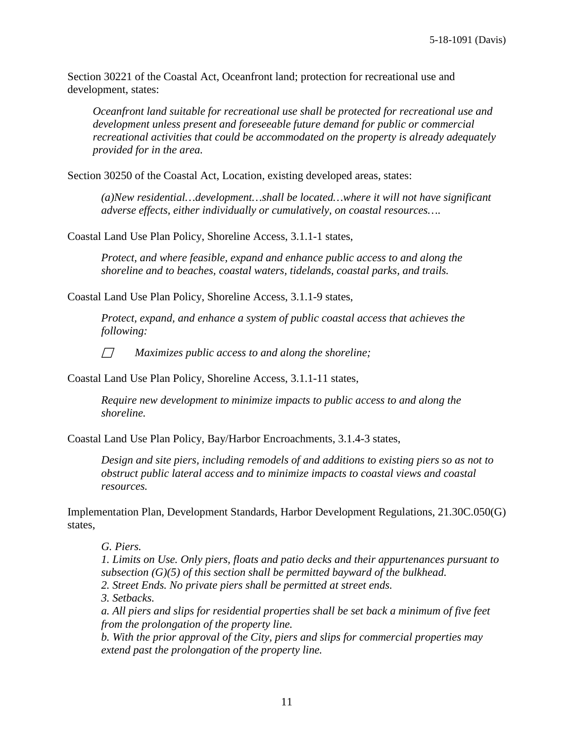Section 30221 of the Coastal Act, Oceanfront land; protection for recreational use and development, states:

*Oceanfront land suitable for recreational use shall be protected for recreational use and development unless present and foreseeable future demand for public or commercial recreational activities that could be accommodated on the property is already adequately provided for in the area.*

Section 30250 of the Coastal Act, Location, existing developed areas, states:

*(a)New residential…development…shall be located…where it will not have significant adverse effects, either individually or cumulatively, on coastal resources….*

Coastal Land Use Plan Policy, Shoreline Access, 3.1.1-1 states,

*Protect, and where feasible, expand and enhance public access to and along the shoreline and to beaches, coastal waters, tidelands, coastal parks, and trails.*

Coastal Land Use Plan Policy, Shoreline Access, 3.1.1-9 states,

*Protect, expand, and enhance a system of public coastal access that achieves the following:*

*Maximizes public access to and along the shoreline;*

Coastal Land Use Plan Policy, Shoreline Access, 3.1.1-11 states,

*Require new development to minimize impacts to public access to and along the shoreline.*

Coastal Land Use Plan Policy, Bay/Harbor Encroachments, 3.1.4-3 states,

*Design and site piers, including remodels of and additions to existing piers so as not to obstruct public lateral access and to minimize impacts to coastal views and coastal resources.*

Implementation Plan, Development Standards, Harbor Development Regulations, 21.30C.050(G) states,

*G. Piers.*

*1. Limits on Use. Only piers, floats and patio decks and their appurtenances pursuant to subsection (G)(5) of this section shall be permitted bayward of the bulkhead. 2. Street Ends. No private piers shall be permitted at street ends.*

*3. Setbacks.*

*a. All piers and slips for residential properties shall be set back a minimum of five feet from the prolongation of the property line.*

*b. With the prior approval of the City, piers and slips for commercial properties may extend past the prolongation of the property line.*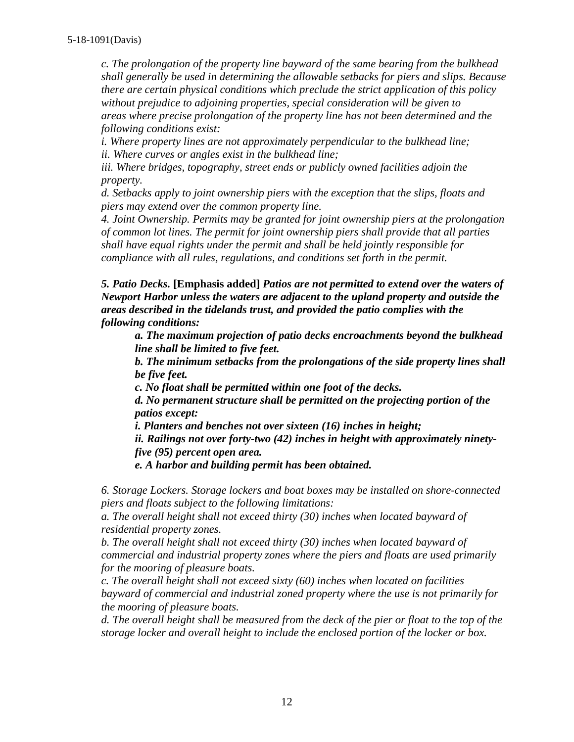*c. The prolongation of the property line bayward of the same bearing from the bulkhead shall generally be used in determining the allowable setbacks for piers and slips. Because there are certain physical conditions which preclude the strict application of this policy without prejudice to adjoining properties, special consideration will be given to areas where precise prolongation of the property line has not been determined and the following conditions exist:*

*i. Where property lines are not approximately perpendicular to the bulkhead line; ii. Where curves or angles exist in the bulkhead line;*

*iii. Where bridges, topography, street ends or publicly owned facilities adjoin the property.*

*d. Setbacks apply to joint ownership piers with the exception that the slips, floats and piers may extend over the common property line.*

*4. Joint Ownership. Permits may be granted for joint ownership piers at the prolongation of common lot lines. The permit for joint ownership piers shall provide that all parties shall have equal rights under the permit and shall be held jointly responsible for compliance with all rules, regulations, and conditions set forth in the permit.*

*5. Patio Decks.* **[Emphasis added]** *Patios are not permitted to extend over the waters of Newport Harbor unless the waters are adjacent to the upland property and outside the areas described in the tidelands trust, and provided the patio complies with the following conditions:*

*a. The maximum projection of patio decks encroachments beyond the bulkhead line shall be limited to five feet.*

*b. The minimum setbacks from the prolongations of the side property lines shall be five feet.*

*c. No float shall be permitted within one foot of the decks.*

*d. No permanent structure shall be permitted on the projecting portion of the patios except:*

*i. Planters and benches not over sixteen (16) inches in height;*

*ii. Railings not over forty-two (42) inches in height with approximately ninetyfive (95) percent open area.*

*e. A harbor and building permit has been obtained.*

*6. Storage Lockers. Storage lockers and boat boxes may be installed on shore-connected piers and floats subject to the following limitations:*

*a. The overall height shall not exceed thirty (30) inches when located bayward of residential property zones.*

*b. The overall height shall not exceed thirty (30) inches when located bayward of commercial and industrial property zones where the piers and floats are used primarily for the mooring of pleasure boats.*

*c. The overall height shall not exceed sixty (60) inches when located on facilities bayward of commercial and industrial zoned property where the use is not primarily for the mooring of pleasure boats.*

*d. The overall height shall be measured from the deck of the pier or float to the top of the storage locker and overall height to include the enclosed portion of the locker or box.*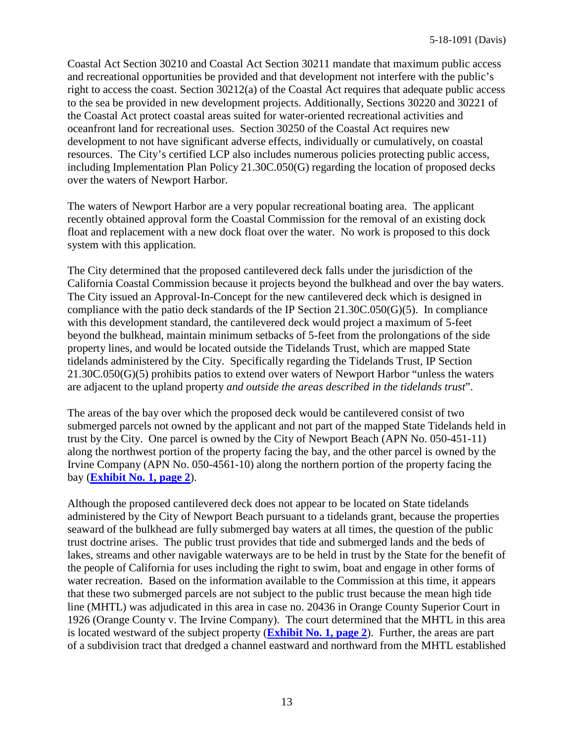Coastal Act Section 30210 and Coastal Act Section 30211 mandate that maximum public access and recreational opportunities be provided and that development not interfere with the public's right to access the coast. Section 30212(a) of the Coastal Act requires that adequate public access to the sea be provided in new development projects. Additionally, Sections 30220 and 30221 of the Coastal Act protect coastal areas suited for water-oriented recreational activities and oceanfront land for recreational uses. Section 30250 of the Coastal Act requires new development to not have significant adverse effects, individually or cumulatively, on coastal resources. The City's certified LCP also includes numerous policies protecting public access, including Implementation Plan Policy 21.30C.050(G) regarding the location of proposed decks over the waters of Newport Harbor.

The waters of Newport Harbor are a very popular recreational boating area. The applicant recently obtained approval form the Coastal Commission for the removal of an existing dock float and replacement with a new dock float over the water. No work is proposed to this dock system with this application.

The City determined that the proposed cantilevered deck falls under the jurisdiction of the California Coastal Commission because it projects beyond the bulkhead and over the bay waters. The City issued an Approval-In-Concept for the new cantilevered deck which is designed in compliance with the patio deck standards of the IP Section 21.30C.050(G)(5). In compliance with this development standard, the cantilevered deck would project a maximum of 5-feet beyond the bulkhead, maintain minimum setbacks of 5-feet from the prolongations of the side property lines, and would be located outside the Tidelands Trust, which are mapped State tidelands administered by the City. Specifically regarding the Tidelands Trust, IP Section 21.30C.050(G)(5) prohibits patios to extend over waters of Newport Harbor "unless the waters are adjacent to the upland property *and outside the areas described in the tidelands trust*".

The areas of the bay over which the proposed deck would be cantilevered consist of two submerged parcels not owned by the applicant and not part of the mapped State Tidelands held in trust by the City. One parcel is owned by the City of Newport Beach (APN No. 050-451-11) along the northwest portion of the property facing the bay, and the other parcel is owned by the Irvine Company (APN No. 050-4561-10) along the northern portion of the property facing the bay (**[Exhibit No. 1, page 2](https://documents.coastal.ca.gov/reports/2019/6/F11J/F11J-6-2019-exhibits.pdf)**).

Although the proposed cantilevered deck does not appear to be located on State tidelands administered by the City of Newport Beach pursuant to a tidelands grant, because the properties seaward of the bulkhead are fully submerged bay waters at all times, the question of the public trust doctrine arises. The public trust provides that tide and submerged lands and the beds of lakes, streams and other navigable waterways are to be held in trust by the State for the benefit of the people of California for uses including the right to swim, boat and engage in other forms of water recreation. Based on the information available to the Commission at this time, it appears that these two submerged parcels are not subject to the public trust because the mean high tide line (MHTL) was adjudicated in this area in case no. 20436 in Orange County Superior Court in 1926 (Orange County v. The Irvine Company). The court determined that the MHTL in this area is located westward of the subject property (**[Exhibit No. 1, page 2](https://documents.coastal.ca.gov/reports/2019/6/F11J/F11J-6-2019-exhibits.pdf)**). Further, the areas are part of a subdivision tract that dredged a channel eastward and northward from the MHTL established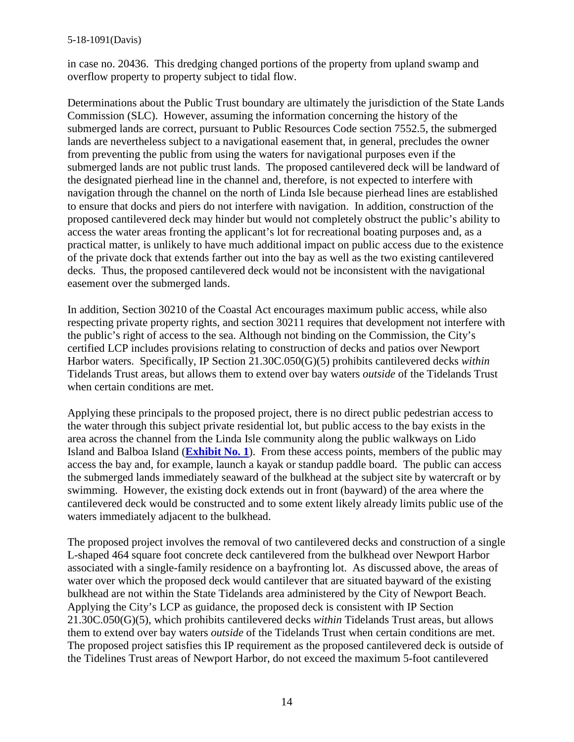#### 5-18-1091(Davis)

in case no. 20436. This dredging changed portions of the property from upland swamp and overflow property to property subject to tidal flow.

Determinations about the Public Trust boundary are ultimately the jurisdiction of the State Lands Commission (SLC). However, assuming the information concerning the history of the submerged lands are correct, pursuant to Public Resources Code section 7552.5, the submerged lands are nevertheless subject to a navigational easement that, in general, precludes the owner from preventing the public from using the waters for navigational purposes even if the submerged lands are not public trust lands. The proposed cantilevered deck will be landward of the designated pierhead line in the channel and, therefore, is not expected to interfere with navigation through the channel on the north of Linda Isle because pierhead lines are established to ensure that docks and piers do not interfere with navigation. In addition, construction of the proposed cantilevered deck may hinder but would not completely obstruct the public's ability to access the water areas fronting the applicant's lot for recreational boating purposes and, as a practical matter, is unlikely to have much additional impact on public access due to the existence of the private dock that extends farther out into the bay as well as the two existing cantilevered decks. Thus, the proposed cantilevered deck would not be inconsistent with the navigational easement over the submerged lands.

In addition, Section 30210 of the Coastal Act encourages maximum public access, while also respecting private property rights, and section 30211 requires that development not interfere with the public's right of access to the sea. Although not binding on the Commission, the City's certified LCP includes provisions relating to construction of decks and patios over Newport Harbor waters. Specifically, IP Section 21.30C.050(G)(5) prohibits cantilevered decks *within* Tidelands Trust areas, but allows them to extend over bay waters *outside* of the Tidelands Trust when certain conditions are met.

Applying these principals to the proposed project, there is no direct public pedestrian access to the water through this subject private residential lot, but public access to the bay exists in the area across the channel from the Linda Isle community along the public walkways on Lido Island and Balboa Island (**[Exhibit No. 1](https://documents.coastal.ca.gov/reports/2019/6/F11J/F11J-6-2019-exhibits.pdf)**). From these access points, members of the public may access the bay and, for example, launch a kayak or standup paddle board. The public can access the submerged lands immediately seaward of the bulkhead at the subject site by watercraft or by swimming. However, the existing dock extends out in front (bayward) of the area where the cantilevered deck would be constructed and to some extent likely already limits public use of the waters immediately adjacent to the bulkhead.

The proposed project involves the removal of two cantilevered decks and construction of a single L-shaped 464 square foot concrete deck cantilevered from the bulkhead over Newport Harbor associated with a single-family residence on a bayfronting lot. As discussed above, the areas of water over which the proposed deck would cantilever that are situated bayward of the existing bulkhead are not within the State Tidelands area administered by the City of Newport Beach. Applying the City's LCP as guidance, the proposed deck is consistent with IP Section 21.30C.050(G)(5), which prohibits cantilevered decks *within* Tidelands Trust areas, but allows them to extend over bay waters *outside* of the Tidelands Trust when certain conditions are met. The proposed project satisfies this IP requirement as the proposed cantilevered deck is outside of the Tidelines Trust areas of Newport Harbor, do not exceed the maximum 5-foot cantilevered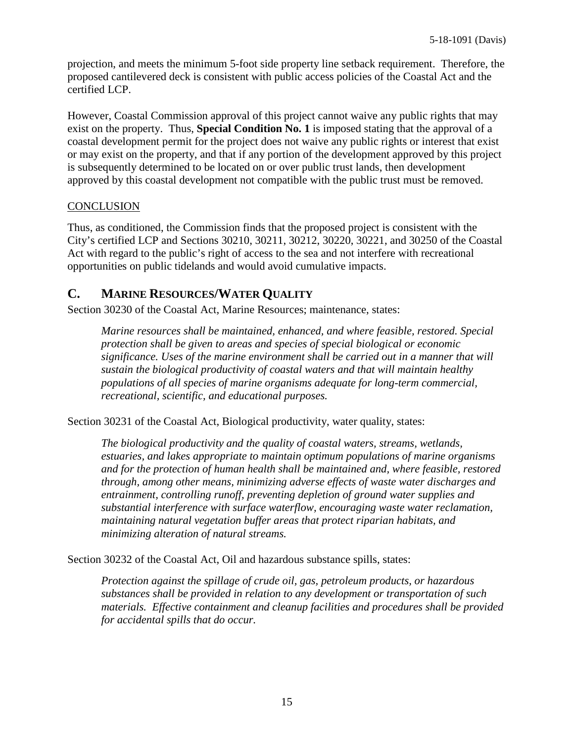projection, and meets the minimum 5-foot side property line setback requirement. Therefore, the proposed cantilevered deck is consistent with public access policies of the Coastal Act and the certified LCP.

However, Coastal Commission approval of this project cannot waive any public rights that may exist on the property. Thus, **Special Condition No. 1** is imposed stating that the approval of a coastal development permit for the project does not waive any public rights or interest that exist or may exist on the property, and that if any portion of the development approved by this project is subsequently determined to be located on or over public trust lands, then development approved by this coastal development not compatible with the public trust must be removed.

#### **CONCLUSION**

Thus, as conditioned, the Commission finds that the proposed project is consistent with the City's certified LCP and Sections 30210, 30211, 30212, 30220, 30221, and 30250 of the Coastal Act with regard to the public's right of access to the sea and not interfere with recreational opportunities on public tidelands and would avoid cumulative impacts.

## <span id="page-14-0"></span>**C. MARINE RESOURCES/WATER QUALITY**

Section 30230 of the Coastal Act, Marine Resources; maintenance, states:

*Marine resources shall be maintained, enhanced, and where feasible, restored. Special protection shall be given to areas and species of special biological or economic significance. Uses of the marine environment shall be carried out in a manner that will sustain the biological productivity of coastal waters and that will maintain healthy populations of all species of marine organisms adequate for long-term commercial, recreational, scientific, and educational purposes.*

Section 30231 of the Coastal Act, Biological productivity, water quality, states:

*The biological productivity and the quality of coastal waters, streams, wetlands, estuaries, and lakes appropriate to maintain optimum populations of marine organisms and for the protection of human health shall be maintained and, where feasible, restored through, among other means, minimizing adverse effects of waste water discharges and entrainment, controlling runoff, preventing depletion of ground water supplies and substantial interference with surface waterflow, encouraging waste water reclamation, maintaining natural vegetation buffer areas that protect riparian habitats, and minimizing alteration of natural streams.*

Section 30232 of the Coastal Act, Oil and hazardous substance spills, states:

*Protection against the spillage of crude oil, gas, petroleum products, or hazardous substances shall be provided in relation to any development or transportation of such materials. Effective containment and cleanup facilities and procedures shall be provided for accidental spills that do occur.*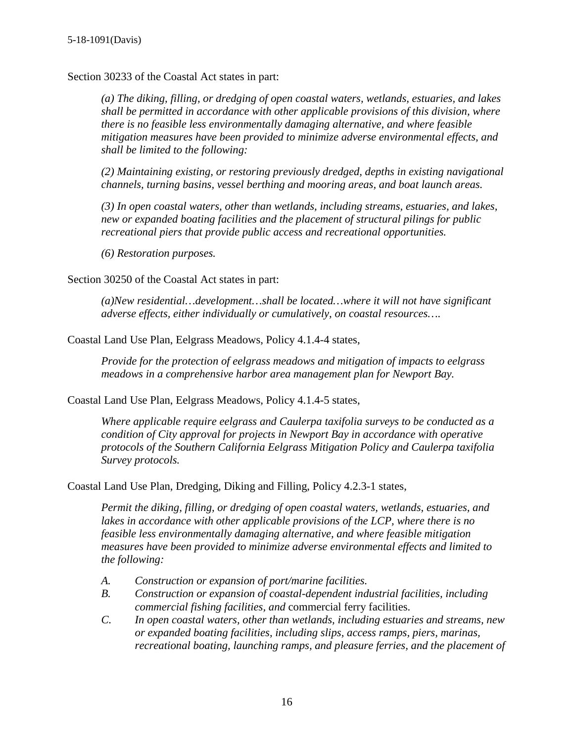Section 30233 of the Coastal Act states in part:

*(a) The diking, filling, or dredging of open coastal waters, wetlands, estuaries, and lakes shall be permitted in accordance with other applicable provisions of this division, where there is no feasible less environmentally damaging alternative, and where feasible mitigation measures have been provided to minimize adverse environmental effects, and shall be limited to the following:*

*(2) Maintaining existing, or restoring previously dredged, depths in existing navigational channels, turning basins, vessel berthing and mooring areas, and boat launch areas.*

*(3) In open coastal waters, other than wetlands, including streams, estuaries, and lakes, new or expanded boating facilities and the placement of structural pilings for public recreational piers that provide public access and recreational opportunities.*

*(6) Restoration purposes.*

Section 30250 of the Coastal Act states in part:

*(a)New residential…development…shall be located…where it will not have significant adverse effects, either individually or cumulatively, on coastal resources….*

Coastal Land Use Plan, Eelgrass Meadows, Policy 4.1.4-4 states,

*Provide for the protection of eelgrass meadows and mitigation of impacts to eelgrass meadows in a comprehensive harbor area management plan for Newport Bay.*

Coastal Land Use Plan, Eelgrass Meadows, Policy 4.1.4-5 states,

*Where applicable require eelgrass and Caulerpa taxifolia surveys to be conducted as a condition of City approval for projects in Newport Bay in accordance with operative protocols of the Southern California Eelgrass Mitigation Policy and Caulerpa taxifolia Survey protocols.*

Coastal Land Use Plan, Dredging, Diking and Filling, Policy 4.2.3-1 states,

*Permit the diking, filling, or dredging of open coastal waters, wetlands, estuaries, and*  lakes in accordance with other applicable provisions of the LCP, where there is no *feasible less environmentally damaging alternative, and where feasible mitigation measures have been provided to minimize adverse environmental effects and limited to the following:*

- *A. Construction or expansion of port/marine facilities.*
- *B. Construction or expansion of coastal-dependent industrial facilities, including commercial fishing facilities, and* commercial ferry facilities.
- *C. In open coastal waters, other than wetlands, including estuaries and streams, new or expanded boating facilities, including slips, access ramps, piers, marinas, recreational boating, launching ramps, and pleasure ferries, and the placement of*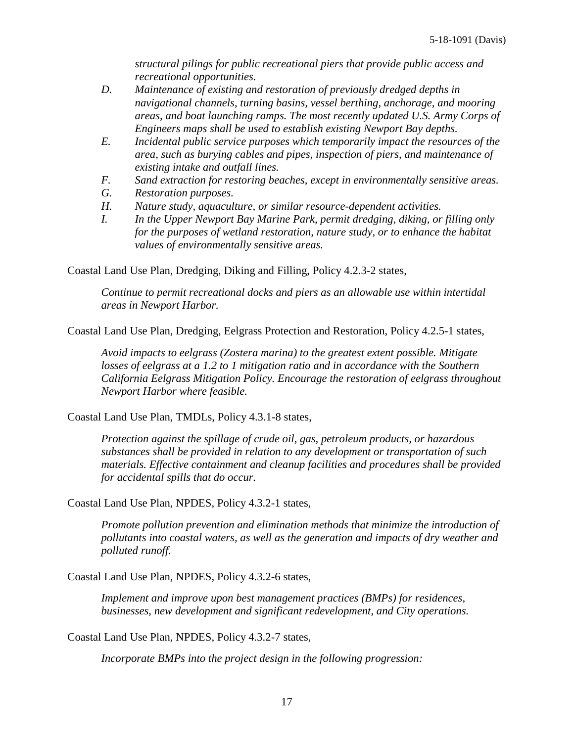*structural pilings for public recreational piers that provide public access and recreational opportunities.*

- *D. Maintenance of existing and restoration of previously dredged depths in navigational channels, turning basins, vessel berthing, anchorage, and mooring areas, and boat launching ramps. The most recently updated U.S. Army Corps of Engineers maps shall be used to establish existing Newport Bay depths.*
- *E. Incidental public service purposes which temporarily impact the resources of the area, such as burying cables and pipes, inspection of piers, and maintenance of existing intake and outfall lines.*
- *F. Sand extraction for restoring beaches, except in environmentally sensitive areas.*
- *G. Restoration purposes.*
- *H. Nature study, aquaculture, or similar resource-dependent activities.*
- *I. In the Upper Newport Bay Marine Park, permit dredging, diking, or filling only for the purposes of wetland restoration, nature study, or to enhance the habitat values of environmentally sensitive areas.*

Coastal Land Use Plan, Dredging, Diking and Filling, Policy 4.2.3-2 states,

*Continue to permit recreational docks and piers as an allowable use within intertidal areas in Newport Harbor.*

Coastal Land Use Plan, Dredging, Eelgrass Protection and Restoration, Policy 4.2.5-1 states,

*Avoid impacts to eelgrass (Zostera marina) to the greatest extent possible. Mitigate*  losses of eelgrass at a 1.2 to 1 mitigation ratio and in accordance with the Southern *California Eelgrass Mitigation Policy. Encourage the restoration of eelgrass throughout Newport Harbor where feasible.*

Coastal Land Use Plan, TMDLs, Policy 4.3.1-8 states,

*Protection against the spillage of crude oil, gas, petroleum products, or hazardous substances shall be provided in relation to any development or transportation of such materials. Effective containment and cleanup facilities and procedures shall be provided for accidental spills that do occur.*

Coastal Land Use Plan, NPDES, Policy 4.3.2-1 states,

*Promote pollution prevention and elimination methods that minimize the introduction of pollutants into coastal waters, as well as the generation and impacts of dry weather and polluted runoff.*

Coastal Land Use Plan, NPDES, Policy 4.3.2-6 states,

*Implement and improve upon best management practices (BMPs) for residences, businesses, new development and significant redevelopment, and City operations.*

Coastal Land Use Plan, NPDES, Policy 4.3.2-7 states,

*Incorporate BMPs into the project design in the following progression:*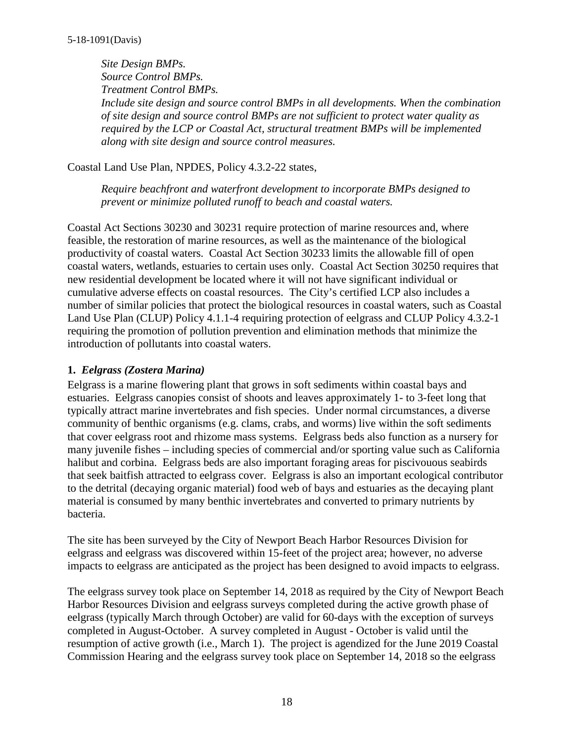*Site Design BMPs. Source Control BMPs. Treatment Control BMPs. Include site design and source control BMPs in all developments. When the combination of site design and source control BMPs are not sufficient to protect water quality as required by the LCP or Coastal Act, structural treatment BMPs will be implemented along with site design and source control measures.*

Coastal Land Use Plan, NPDES, Policy 4.3.2-22 states,

*Require beachfront and waterfront development to incorporate BMPs designed to prevent or minimize polluted runoff to beach and coastal waters.*

Coastal Act Sections 30230 and 30231 require protection of marine resources and, where feasible, the restoration of marine resources, as well as the maintenance of the biological productivity of coastal waters. Coastal Act Section 30233 limits the allowable fill of open coastal waters, wetlands, estuaries to certain uses only. Coastal Act Section 30250 requires that new residential development be located where it will not have significant individual or cumulative adverse effects on coastal resources. The City's certified LCP also includes a number of similar policies that protect the biological resources in coastal waters, such as Coastal Land Use Plan (CLUP) Policy 4.1.1-4 requiring protection of eelgrass and CLUP Policy 4.3.2-1 requiring the promotion of pollution prevention and elimination methods that minimize the introduction of pollutants into coastal waters.

#### **1.** *Eelgrass (Zostera Marina)*

Eelgrass is a marine flowering plant that grows in soft sediments within coastal bays and estuaries. Eelgrass canopies consist of shoots and leaves approximately 1- to 3-feet long that typically attract marine invertebrates and fish species. Under normal circumstances, a diverse community of benthic organisms (e.g. clams, crabs, and worms) live within the soft sediments that cover eelgrass root and rhizome mass systems. Eelgrass beds also function as a nursery for many juvenile fishes – including species of commercial and/or sporting value such as California halibut and corbina. Eelgrass beds are also important foraging areas for piscivouous seabirds that seek baitfish attracted to eelgrass cover. Eelgrass is also an important ecological contributor to the detrital (decaying organic material) food web of bays and estuaries as the decaying plant material is consumed by many benthic invertebrates and converted to primary nutrients by bacteria.

The site has been surveyed by the City of Newport Beach Harbor Resources Division for eelgrass and eelgrass was discovered within 15-feet of the project area; however, no adverse impacts to eelgrass are anticipated as the project has been designed to avoid impacts to eelgrass.

The eelgrass survey took place on September 14, 2018 as required by the City of Newport Beach Harbor Resources Division and eelgrass surveys completed during the active growth phase of eelgrass (typically March through October) are valid for 60-days with the exception of surveys completed in August-October. A survey completed in August - October is valid until the resumption of active growth (i.e., March 1). The project is agendized for the June 2019 Coastal Commission Hearing and the eelgrass survey took place on September 14, 2018 so the eelgrass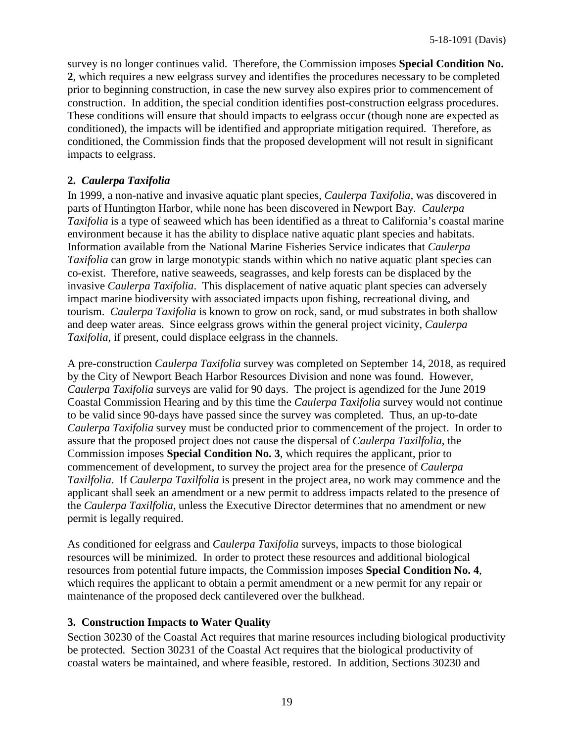survey is no longer continues valid. Therefore, the Commission imposes **Special Condition No. 2**, which requires a new eelgrass survey and identifies the procedures necessary to be completed prior to beginning construction, in case the new survey also expires prior to commencement of construction. In addition, the special condition identifies post-construction eelgrass procedures. These conditions will ensure that should impacts to eelgrass occur (though none are expected as conditioned), the impacts will be identified and appropriate mitigation required. Therefore, as conditioned, the Commission finds that the proposed development will not result in significant impacts to eelgrass.

#### **2.** *Caulerpa Taxifolia*

In 1999, a non-native and invasive aquatic plant species, *Caulerpa Taxifolia*, was discovered in parts of Huntington Harbor, while none has been discovered in Newport Bay. *Caulerpa Taxifolia* is a type of seaweed which has been identified as a threat to California's coastal marine environment because it has the ability to displace native aquatic plant species and habitats. Information available from the National Marine Fisheries Service indicates that *Caulerpa Taxifolia* can grow in large monotypic stands within which no native aquatic plant species can co-exist. Therefore, native seaweeds, seagrasses, and kelp forests can be displaced by the invasive *Caulerpa Taxifolia*. This displacement of native aquatic plant species can adversely impact marine biodiversity with associated impacts upon fishing, recreational diving, and tourism. *Caulerpa Taxifolia* is known to grow on rock, sand, or mud substrates in both shallow and deep water areas. Since eelgrass grows within the general project vicinity, *Caulerpa Taxifolia*, if present, could displace eelgrass in the channels.

A pre-construction *Caulerpa Taxifolia* survey was completed on September 14, 2018, as required by the City of Newport Beach Harbor Resources Division and none was found. However, *Caulerpa Taxifolia* surveys are valid for 90 days. The project is agendized for the June 2019 Coastal Commission Hearing and by this time the *Caulerpa Taxifolia* survey would not continue to be valid since 90-days have passed since the survey was completed. Thus, an up-to-date *Caulerpa Taxifolia* survey must be conducted prior to commencement of the project. In order to assure that the proposed project does not cause the dispersal of *Caulerpa Taxilfolia*, the Commission imposes **Special Condition No. 3**, which requires the applicant, prior to commencement of development, to survey the project area for the presence of *Caulerpa Taxilfolia*. If *Caulerpa Taxilfolia* is present in the project area, no work may commence and the applicant shall seek an amendment or a new permit to address impacts related to the presence of the *Caulerpa Taxilfolia*, unless the Executive Director determines that no amendment or new permit is legally required.

As conditioned for eelgrass and *Caulerpa Taxifolia* surveys, impacts to those biological resources will be minimized. In order to protect these resources and additional biological resources from potential future impacts, the Commission imposes **Special Condition No. 4**, which requires the applicant to obtain a permit amendment or a new permit for any repair or maintenance of the proposed deck cantilevered over the bulkhead.

#### **3. Construction Impacts to Water Quality**

Section 30230 of the Coastal Act requires that marine resources including biological productivity be protected. Section 30231 of the Coastal Act requires that the biological productivity of coastal waters be maintained, and where feasible, restored. In addition, Sections 30230 and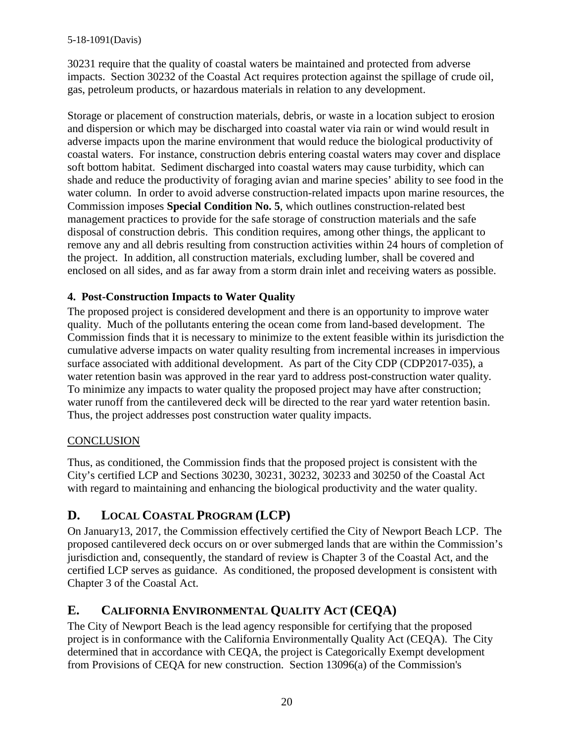30231 require that the quality of coastal waters be maintained and protected from adverse impacts. Section 30232 of the Coastal Act requires protection against the spillage of crude oil, gas, petroleum products, or hazardous materials in relation to any development.

Storage or placement of construction materials, debris, or waste in a location subject to erosion and dispersion or which may be discharged into coastal water via rain or wind would result in adverse impacts upon the marine environment that would reduce the biological productivity of coastal waters. For instance, construction debris entering coastal waters may cover and displace soft bottom habitat. Sediment discharged into coastal waters may cause turbidity, which can shade and reduce the productivity of foraging avian and marine species' ability to see food in the water column. In order to avoid adverse construction-related impacts upon marine resources, the Commission imposes **Special Condition No. 5**, which outlines construction-related best management practices to provide for the safe storage of construction materials and the safe disposal of construction debris. This condition requires, among other things, the applicant to remove any and all debris resulting from construction activities within 24 hours of completion of the project. In addition, all construction materials, excluding lumber, shall be covered and enclosed on all sides, and as far away from a storm drain inlet and receiving waters as possible.

## **4. Post-Construction Impacts to Water Quality**

The proposed project is considered development and there is an opportunity to improve water quality. Much of the pollutants entering the ocean come from land-based development. The Commission finds that it is necessary to minimize to the extent feasible within its jurisdiction the cumulative adverse impacts on water quality resulting from incremental increases in impervious surface associated with additional development. As part of the City CDP (CDP2017-035), a water retention basin was approved in the rear yard to address post-construction water quality. To minimize any impacts to water quality the proposed project may have after construction; water runoff from the cantilevered deck will be directed to the rear yard water retention basin. Thus, the project addresses post construction water quality impacts.

### **CONCLUSION**

Thus, as conditioned, the Commission finds that the proposed project is consistent with the City's certified LCP and Sections 30230, 30231, 30232, 30233 and 30250 of the Coastal Act with regard to maintaining and enhancing the biological productivity and the water quality.

# <span id="page-19-0"></span>**D. LOCAL COASTAL PROGRAM (LCP)**

On January13, 2017, the Commission effectively certified the City of Newport Beach LCP. The proposed cantilevered deck occurs on or over submerged lands that are within the Commission's jurisdiction and, consequently, the standard of review is Chapter 3 of the Coastal Act, and the certified LCP serves as guidance. As conditioned, the proposed development is consistent with Chapter 3 of the Coastal Act.

# <span id="page-19-1"></span>**E. CALIFORNIA ENVIRONMENTAL QUALITY ACT (CEQA)**

The City of Newport Beach is the lead agency responsible for certifying that the proposed project is in conformance with the California Environmentally Quality Act (CEQA). The City determined that in accordance with CEQA, the project is Categorically Exempt development from Provisions of CEQA for new construction. Section 13096(a) of the Commission's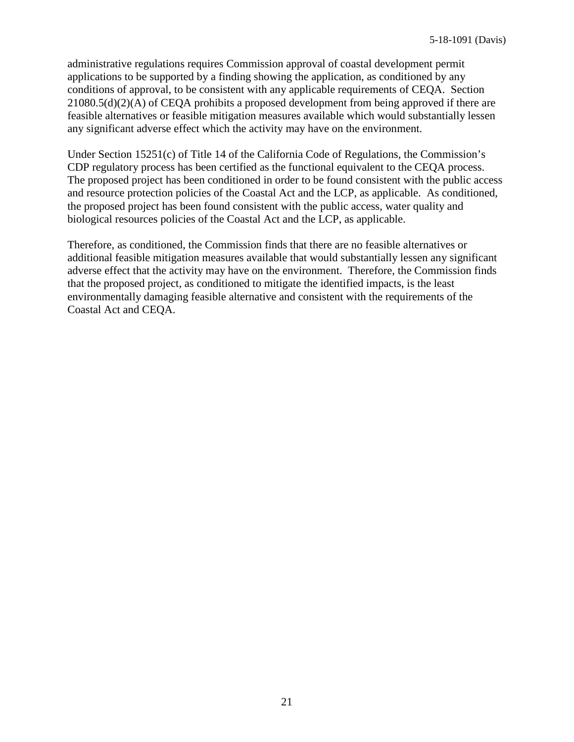administrative regulations requires Commission approval of coastal development permit applications to be supported by a finding showing the application, as conditioned by any conditions of approval, to be consistent with any applicable requirements of CEQA. Section 21080.5(d)(2)(A) of CEQA prohibits a proposed development from being approved if there are feasible alternatives or feasible mitigation measures available which would substantially lessen any significant adverse effect which the activity may have on the environment.

Under Section 15251(c) of Title 14 of the California Code of Regulations, the Commission's CDP regulatory process has been certified as the functional equivalent to the CEQA process. The proposed project has been conditioned in order to be found consistent with the public access and resource protection policies of the Coastal Act and the LCP, as applicable. As conditioned, the proposed project has been found consistent with the public access, water quality and biological resources policies of the Coastal Act and the LCP, as applicable.

Therefore, as conditioned, the Commission finds that there are no feasible alternatives or additional feasible mitigation measures available that would substantially lessen any significant adverse effect that the activity may have on the environment. Therefore, the Commission finds that the proposed project, as conditioned to mitigate the identified impacts, is the least environmentally damaging feasible alternative and consistent with the requirements of the Coastal Act and CEQA.